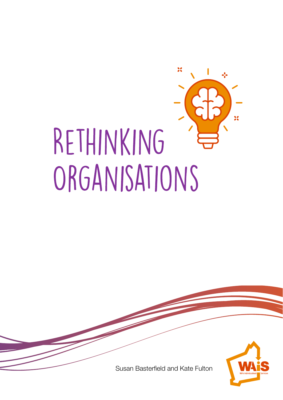

Susan Basterfield and Kate Fulton

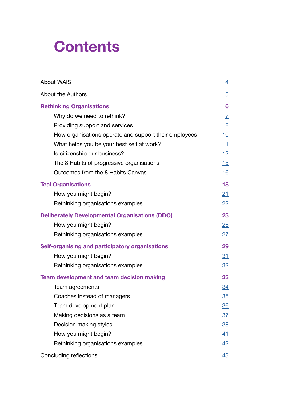# **Contents**

| <b>About WAIS</b>                                      | $\overline{4}$    |
|--------------------------------------------------------|-------------------|
| <b>About the Authors</b>                               | $\overline{5}$    |
| <b>Rethinking Organisations</b>                        | $6\overline{6}$   |
| Why do we need to rethink?                             | $\overline{L}$    |
| Providing support and services                         | 8                 |
| How organisations operate and support their employees  | <u>10</u>         |
| What helps you be your best self at work?              | 11                |
| Is citizenship our business?                           | <u>12</u>         |
| The 8 Habits of progressive organisations              | 15                |
| Outcomes from the 8 Habits Canvas                      | 16                |
| <b>Teal Organisations</b>                              | 18                |
| How you might begin?                                   | 21                |
| Rethinking organisations examples                      | $22 \overline{)}$ |
| <b>Deliberately Developmental Organisations (DDO)</b>  | 23                |
| How you might begin?                                   | 26                |
| Rethinking organisations examples                      | 27                |
| <b>Self-organising and participatory organisations</b> | 29                |
| How you might begin?                                   | 31                |
| Rethinking organisations examples                      | 32                |
| <b>Team development and team decision making</b>       | 33                |
| Team agreements                                        | <u>34</u>         |
| Coaches instead of managers                            | 35                |
| Team development plan                                  | <u>36</u>         |
| Making decisions as a team                             | <u>37</u>         |
| Decision making styles                                 | 38                |
| How you might begin?                                   | 41                |
| Rethinking organisations examples                      | 42                |
| Concluding reflections                                 | 43                |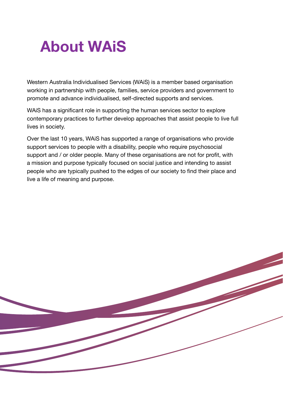# <span id="page-3-0"></span>**About WAiS**

Western Australia Individualised Services (WAiS) is a member based organisation working in partnership with people, families, service providers and government to promote and advance individualised, self-directed supports and services.

WAiS has a significant role in supporting the human services sector to explore contemporary practices to further develop approaches that assist people to live full lives in society.

Over the last 10 years, WAiS has supported a range of organisations who provide support services to people with a disability, people who require psychosocial support and / or older people. Many of these organisations are not for profit, with a mission and purpose typically focused on social justice and intending to assist people who are typically pushed to the edges of our society to find their place and live a life of meaning and purpose.

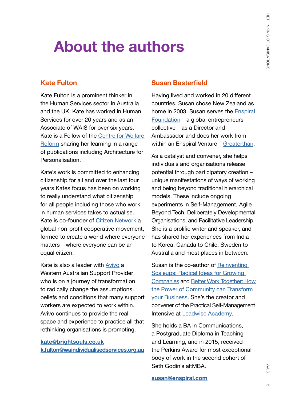# <span id="page-4-0"></span>**About the authors**

### **Kate Fulton**

Kate Fulton is a prominent thinker in the Human Services sector in Australia and the UK. Kate has worked in Human Services for over 20 years and as an Associate of WAIS for over six years. Kate is a Fellow of the [Centre for Welfare](https://www.centreforwelfarereform.org/)  [Reform](https://www.centreforwelfarereform.org/) sharing her learning in a range of publications including Architecture for Personalisation.

Kate's work is committed to enhancing citizenship for all and over the last four years Kates focus has been on working to really understand what citizenship for all people including those who work in human services takes to actualise. Kate is co-founder of [Citizen Network](https://www.citizen-network.org/) a global non-profit cooperative movement, formed to create a world where everyone matters – where everyone can be an equal citizen.

Kate is also a leader with [Avivo](https://www.avivo.org.au/) a Western Australian Support Provider who is on a journey of transformation to radically change the assumptions, beliefs and conditions that many support workers are expected to work within. Avivo continues to provide the real space and experience to practice all that rethinking organisations is promoting.

**[kate@brightsouls.co.uk](mailto:kate%40brightsouls.co.uk?subject=) [k.fulton@waindividualisedservices.org.au](mailto:k.fulton%40waindividualisedservices.org.au%20?subject=)**

#### **Susan Basterfield**

Having lived and worked in 20 different countries, Susan chose New Zealand as home in 2003. Susan serves the [Enspiral](https://enspiral.com/)  [Foundation](https://enspiral.com/) – a global entrepreneurs collective – as a Director and Ambassador and does her work from within an Enspiral Venture – [Greaterthan](https://www.greaterthan.works/).

As a catalyst and convener, she helps individuals and organisations release potential through participatory creation – unique manifestations of ways of working and being beyond traditional hierarchical models. These include ongoing experiments in Self-Management, Agile Beyond Tech, Deliberately Developmental Organisations, and Facilitative Leadership. She is a prolific writer and speaker, and has shared her experiences from India to Korea, Canada to Chile, Sweden to Australia and most places in between.

Susan is the co-author of Reinventing [Scaleups: Radical Ideas for Growing](http://www.reinventingscaleups.com/)  [Companies](http://www.reinventingscaleups.com/) and [Better Work Together: How](http://www.betterworktogether.co/)  [the Power of Community can Transform](http://www.betterworktogether.co/)  [your Business](http://www.betterworktogether.co/). She's the creator and convener of the Practical Self-Management Intensive at [Leadwise Academy](http://www.leadwise.co/).

She holds a BA in Communications, a Postgraduate Diploma in Teaching and Learning, and in 2015, received the Perkins Award for most exceptional body of work in the second cohort of Seth Godin's altMBA.

#### **[susan@enspiral.com](mailto:susan%40enspiral.com?subject=)**

WAIS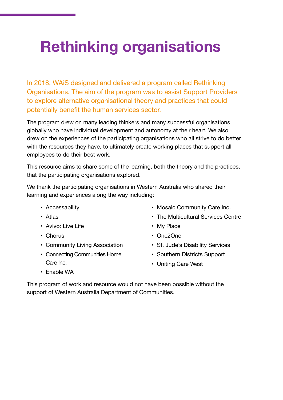# <span id="page-5-0"></span>**Rethinking organisations**

In 2018, WAiS designed and delivered a program called Rethinking Organisations. The aim of the program was to assist Support Providers to explore alternative organisational theory and practices that could potentially benefit the human services sector.

The program drew on many leading thinkers and many successful organisations globally who have individual development and autonomy at their heart. We also drew on the experiences of the participating organisations who all strive to do better with the resources they have, to ultimately create working places that support all employees to do their best work.

This resource aims to share some of the learning, both the theory and the practices, that the participating organisations explored.

We thank the participating organisations in Western Australia who shared their learning and experiences along the way including:

- Accessability
- Atlas
- Avivo: Live Life
- Chorus
- Community Living Association
- Connecting Communities Home Care Inc.
- Mosaic Community Care Inc.
- The Multicultural Services Centre
- My Place
- One2One
- St. Jude's Disability Services
- Southern Districts Support
- Uniting Care West

• Enable WA

This program of work and resource would not have been possible without the support of Western Australia Department of Communities.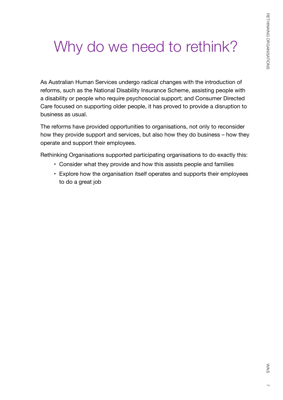# <span id="page-6-0"></span>Why do we need to rethink?

As Australian Human Services undergo radical changes with the introduction of reforms, such as the National Disability Insurance Scheme, assisting people with a disability or people who require psychosocial support; and Consumer Directed Care focused on supporting older people, it has proved to provide a disruption to business as usual.

The reforms have provided opportunities to organisations, not only to reconsider how they provide support and services, but also how they do business – how they operate and support their employees.

Rethinking Organisations supported participating organisations to do exactly this:

- Consider what they provide and how this assists people and families
- Explore how the organisation itself operates and supports their employees to do a great job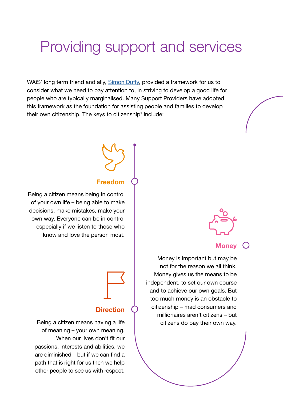### <span id="page-7-0"></span>Providing support and services

WAiS' long term friend and ally, [Simon Duffy](https://www.centreforwelfarereform.org/about-us/centre-team/simon-duffy.html), provided a framework for us to consider what we need to pay attention to, in striving to develop a good life for people who are typically marginalised. Many Support Providers have adopted this framework as the foundation for assisting people and families to develop their own citizenship. The keys to citizenship1 include;

#### **Freedom**

Being a citizen means being in control of your own life – being able to make decisions, make mistakes, make your own way. Everyone can be in control – especially if we listen to those who know and love the person most.

### **Direction**

Being a citizen means having a life of meaning – your own meaning. When our lives don't fit our passions, interests and abilities, we are diminished – but if we can find a path that is right for us then we help other people to see us with respect.

**Money**

Money is important but may be not for the reason we all think. Money gives us the means to be independent, to set our own course and to achieve our own goals. But too much money is an obstacle to citizenship – mad consumers and millionaires aren't citizens – but citizens do pay their own way.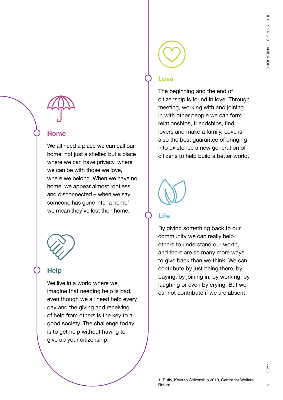### **Home**

We all need a place we can call our home, not just a shelter, but a place where we can have privacy, where we can be with those we love, where we belong. When we have no home, we appear almost rootless and disconnected – when we say someone has gone into 'a home' we mean they've lost their home.



### **Help**

We live in a world where we imagine that needing help is bad, even though we all need help every day and the giving and receiving of help from others is the key to a good society. The challenge today is to get help without having to give up your citizenship.

### **Love**

The beginning and the end of citizenship is found in love. Through meeting, working with and joining in with other people we can form relationships, friendships, find lovers and make a family. Love is also the best guarantee of bringing into existence a new generation of citizens to help build a better world.



### **Life**

By giving something back to our community we can really help others to understand our worth, and there are so many more ways to give back than we think. We can contribute by just being there, by buying, by joining in, by working, by laughing or even by crying. But we cannot contribute if we are absent.

 $\circ$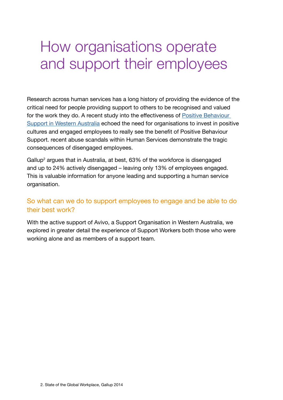### <span id="page-9-0"></span>How organisations operate and support their employees

Research across human services has a long history of providing the evidence of the critical need for people providing support to others to be recognised and valued for the work they do. A recent study into the effectiveness of [Positive Behaviour](http://www.disability.wa.gov.au/disability-service-providers-/for-disability-service-providers/services-for-disability-sector-organisations/positive-behaviour-strategy/)  [Support in Western Australia](http://www.disability.wa.gov.au/disability-service-providers-/for-disability-service-providers/services-for-disability-sector-organisations/positive-behaviour-strategy/) echoed the need for organisations to invest in positive cultures and engaged employees to really see the benefit of Positive Behaviour Support. recent abuse scandals within Human Services demonstrate the tragic consequences of disengaged employees.

Gallup $^{\rm 2}$  argues that in Australia, at best, 63% of the workforce is disengaged and up to 24% actively disengaged – leaving only 13% of employees engaged. This is valuable information for anyone leading and supporting a human service organisation.

#### So what can we do to support employees to engage and be able to do their best work?

With the active support of Avivo, a Support Organisation in Western Australia, we explored in greater detail the experience of Support Workers both those who were working alone and as members of a support team.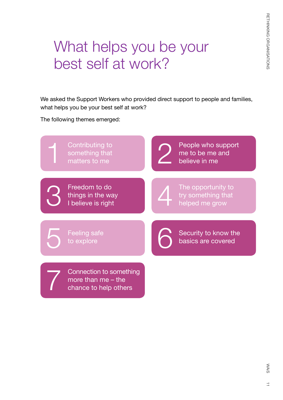# <span id="page-10-0"></span>What helps you be your best self at work?

We asked the Support Workers who provided direct support to people and families, what helps you be your best self at work?

The following themes emerged:

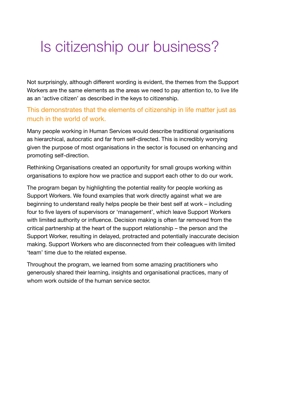### <span id="page-11-0"></span>Is citizenship our business?

Not surprisingly, although different wording is evident, the themes from the Support Workers are the same elements as the areas we need to pay attention to, to live life as an 'active citizen' as described in the keys to citizenship.

### This demonstrates that the elements of citizenship in life matter just as much in the world of work.

Many people working in Human Services would describe traditional organisations as hierarchical, autocratic and far from self-directed. This is incredibly worrying given the purpose of most organisations in the sector is focused on enhancing and promoting self-direction.

Rethinking Organisations created an opportunity for small groups working within organisations to explore how we practice and support each other to do our work.

The program began by highlighting the potential reality for people working as Support Workers. We found examples that work directly against what we are beginning to understand really helps people be their best self at work – including four to five layers of supervisors or 'management', which leave Support Workers with limited authority or influence. Decision making is often far removed from the critical partnership at the heart of the support relationship – the person and the Support Worker, resulting in delayed, protracted and potentially inaccurate decision making. Support Workers who are disconnected from their colleagues with limited 'team' time due to the related expense.

Throughout the program, we learned from some amazing practitioners who generously shared their learning, insights and organisational practices, many of whom work outside of the human service sector.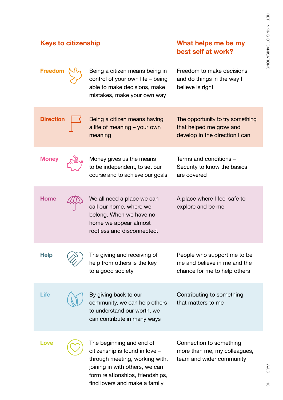#### **Keys to citizenship What helps me be my best self at work? Money**  $\frac{1}{2}$ , Money gives us the means to be independent, to set our course and to achieve our goals Terms and conditions – Security to know the basics are covered Life  $\bigwedge$  By giving back to our community, we can help others to understand our worth, we can contribute in many ways Contributing to something that matters to me **Freedom**  $\mathcal{N}_{\Omega}$  Being a citizen means being in control of your own life – being able to make decisions, make mistakes, make your own way Freedom to make decisions and do things in the way I believe is right Help  $\bigcirc$  The giving and receiving of help from others is the key to a good society People who support me to be me and believe in me and the chance for me to help others Home **AN** We all need a place we can call our home, where we belong. When we have no home we appear almost rootless and disconnected. A place where I feel safe to explore and be me Being a citizen means having a life of meaning – your own meaning The opportunity to try something that helped me grow and develop in the direction I can **Direction** Love  $\sim$  The beginning and end of citizenship is found in love – through meeting, working with, joining in with others, we can Connection to something more than me, my colleagues, team and wider community

form relationships, friendships, find lovers and make a family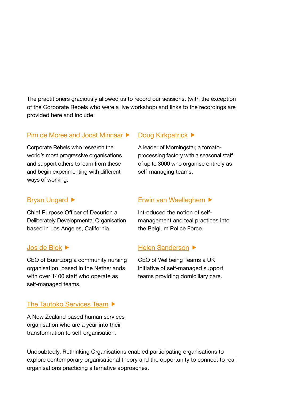The practitioners graciously allowed us to record our sessions, (with the exception of the Corporate Rebels who were a live workshop) and links to the recordings are provided here and include:

#### Pim de Moree and Joost Minnaar

Corporate Rebels who research the world's most progressive organisations and support others to learn from these and begin experimenting with different ways of working.

#### [Bryan Ungard](https://vimeo.com/311582788)  $\blacktriangleright$

Chief Purpose Officer of Decurion a Deliberately Developmental Organisation based in Los Angeles, California.

#### [Jos de Blok](https://vimeo.com/311390916)

CEO of Buurtzorg a community nursing organisation, based in the Netherlands with over 1400 staff who operate as self-managed teams.

#### [The Tautoko Services Team](https://vimeo.com/337481149) ▶

A New Zealand based human services organisation who are a year into their transformation to self-organisation.

#### [Doug Kirkpatrick](https://vimeo.com/311563981) ▶

A leader of Morningstar, a tomatoprocessing factory with a seasonal staff of up to 3000 who organise entirely as self-managing teams.

#### [Erwin van Waelleghem](https://vimeo.com/311609939)

Introduced the notion of selfmanagement and teal practices into the Belgium Police Force.

#### [Helen Sanderson](https://vimeo.com/311612594) ▶

CEO of Wellbeing Teams a UK initiative of self-managed support teams providing domiciliary care.

Undoubtedly, Rethinking Organisations enabled participating organisations to explore contemporary organisational theory and the opportunity to connect to real organisations practicing alternative approaches.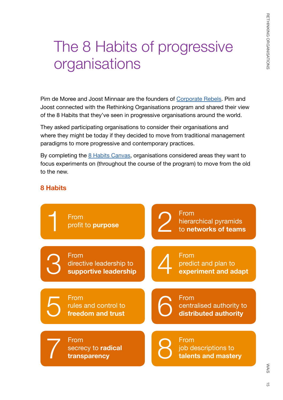# <span id="page-14-0"></span>The 8 Habits of progressive organisations

Pim de Moree and Joost Minnaar are the founders of [Corporate Rebels.](https://corporate-rebels.com/) Pim and Joost connected with the Rethinking Organisations program and shared their view of the 8 Habits that they've seen in progressive organisations around the world.

They asked participating organisations to consider their organisations and where they might be today if they decided to move from traditional management paradigms to more progressive and contemporary practices.

By completing the [8 Habits Canvas](https://corporate-rebels.com/the-8-habits/), organisations considered areas they want to focus experiments on (throughout the course of the program) to move from the old to the new.

### **8 Habits**



 $\vec{0}$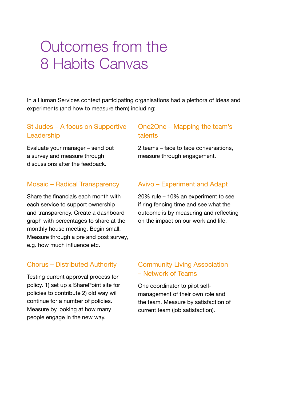### <span id="page-15-0"></span>Outcomes from the 8 Habits Canvas

In a Human Services context participating organisations had a plethora of ideas and experiments (and how to measure them) including:

### St Judes – A focus on Supportive Leadership

Evaluate your manager – send out a survey and measure through discussions after the feedback.

#### Mosaic – Radical Transparency

Share the financials each month with each service to support ownership and transparency. Create a dashboard graph with percentages to share at the monthly house meeting. Begin small. Measure through a pre and post survey, e.g. how much influence etc.

#### Chorus – Distributed Authority

Testing current approval process for policy. 1) set up a SharePoint site for policies to contribute 2) old way will continue for a number of policies. Measure by looking at how many people engage in the new way.

### One2One – Mapping the team's talents

2 teams – face to face conversations, measure through engagement.

#### Avivo – Experiment and Adapt

20% rule – 10% an experiment to see if ring fencing time and see what the outcome is by measuring and reflecting on the impact on our work and life.

#### Community Living Association – Network of Teams

One coordinator to pilot selfmanagement of their own role and the team. Measure by satisfaction of current team (job satisfaction).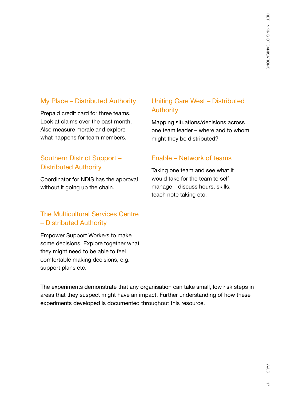### My Place – Distributed Authority

Prepaid credit card for three teams. Look at claims over the past month. Also measure morale and explore what happens for team members.

### Southern District Support – Distributed Authority

Coordinator for NDIS has the approval without it going up the chain.

### The Multicultural Services Centre – Distributed Authority

Empower Support Workers to make some decisions. Explore together what they might need to be able to feel comfortable making decisions, e.g. support plans etc.

### Uniting Care West – Distributed Authority

Mapping situations/decisions across one team leader – where and to whom might they be distributed?

#### Enable – Network of teams

Taking one team and see what it would take for the team to selfmanage – discuss hours, skills, teach note taking etc.

The experiments demonstrate that any organisation can take small, low risk steps in areas that they suspect might have an impact. Further understanding of how these experiments developed is documented throughout this resource.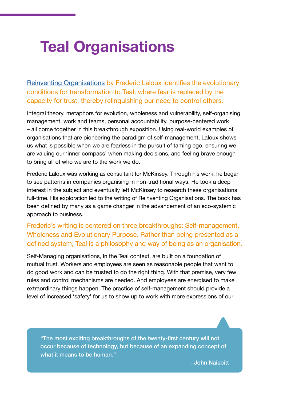# <span id="page-17-0"></span>**Teal Organisations**

[Reinventing Organisations](http://www.reinventingorganizations.com/) by Frederic Laloux identifies the evolutionary conditions for transformation to Teal, where fear is replaced by the capacity for trust, thereby relinquishing our need to control others.

Integral theory, metaphors for evolution, wholeness and vulnerability, self-organising management, work and teams, personal accountability, purpose-centered work – all come together in this breakthrough exposition. Using real-world examples of organisations that are pioneering the paradigm of self-management, Laloux shows us what is possible when we are fearless in the pursuit of taming ego, ensuring we are valuing our 'inner compass' when making decisions, and feeling brave enough to bring all of who we are to the work we do.

Frederic Laloux was working as consultant for McKinsey. Through his work, he began to see patterns in companies organising in non-traditional ways. He took a deep interest in the subject and eventually left McKinsey to research these organisations full-time. His exploration led to the writing of Reinventing Organisations. The book has been defined by many as a game changer in the advancement of an eco-systemic approach to business.

Frederic's writing is centered on three breakthroughs: Self-management, Wholeness and Evolutionary Purpose. Rather than being presented as a defined system, Teal is a philosophy and way of being as an organisation.

Self-Managing organisations, in the Teal context, are built on a foundation of mutual trust. Workers and employees are seen as reasonable people that want to do good work and can be trusted to do the right thing. With that premise, very few rules and control mechanisms are needed. And employees are energised to make extraordinary things happen. The practice of self-management should provide a level of increased 'safety' for us to show up to work with more expressions of our

"The most exciting breakthroughs of the twenty-first century will not occur because of technology, but because of an expanding concept of what it means to be human."

– John Naisbitt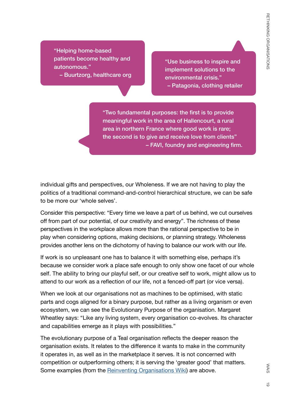"Helping home-based patients become healthy and autonomous."

– Buurtzorg, healthcare org

"Use business to inspire and implement solutions to the environmental crisis." – Patagonia, clothing retailer

"Two fundamental purposes: the first is to provide meaningful work in the area of Hallencourt, a rural area in northern France where good work is rare; the second is to give and receive love from clients" – FAVI, foundry and engineering firm.

individual gifts and perspectives, our Wholeness. If we are not having to play the politics of a traditional command-and-control hierarchical structure, we can be safe to be more our 'whole selves'.

Consider this perspective: "Every time we leave a part of us behind, we cut ourselves off from part of our potential, of our creativity and energy". The richness of these perspectives in the workplace allows more than the rational perspective to be in play when considering options, making decisions, or planning strategy. Wholeness provides another lens on the dichotomy of having to balance our work with our life.

If work is so unpleasant one has to balance it with something else, perhaps it's because we consider work a place safe enough to only show one facet of our whole self. The ability to bring our playful self, or our creative self to work, might allow us to attend to our work as a reflection of our life, not a fenced-off part (or vice versa).

When we look at our organisations not as machines to be optimised, with static parts and cogs aligned for a binary purpose, but rather as a living organism or even ecosystem, we can see the Evolutionary Purpose of the organisation. Margaret Wheatley says: "Like any living system, every organisation co-evolves. Its character and capabilities emerge as it plays with possibilities."

The evolutionary purpose of a Teal organisation reflects the deeper reason the organisation exists. It relates to the difference it wants to make in the community it operates in, as well as in the marketplace it serves. It is not concerned with competition or outperforming others; it is serving the 'greater good' that matters. Some examples (from the **[Reinventing Organisations Wiki](http://reinventingorganizationswiki.com/Main_Page)**) are above.

WAIS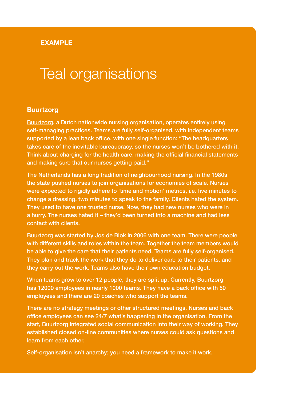#### **EXAMPLE**

### Teal organisations

#### **Buurtzorg**

[Buurtzorg](https://www.buurtzorg.com/), a Dutch nationwide nursing organisation, operates entirely using self-managing practices. Teams are fully self-organised, with independent teams supported by a lean back office, with one single function: "The headquarters takes care of the inevitable bureaucracy, so the nurses won't be bothered with it. Think about charging for the health care, making the official financial statements and making sure that our nurses getting paid."

The Netherlands has a long tradition of neighbourhood nursing. In the 1980s the state pushed nurses to join organisations for economies of scale. Nurses were expected to rigidly adhere to 'time and motion' metrics, i.e. five minutes to change a dressing, two minutes to speak to the family. Clients hated the system. They used to have one trusted nurse. Now, they had new nurses who were in a hurry. The nurses hated it – they'd been turned into a machine and had less contact with clients.

Buurtzorg was started by Jos de Blok in 2006 with one team. There were people with different skills and roles within the team. Together the team members would be able to give the care that their patients need. Teams are fully self-organised. They plan and track the work that they do to deliver care to their patients, and they carry out the work. Teams also have their own education budget.

When teams grow to over 12 people, they are split up. Currently, Buurtzorg has 12000 employees in nearly 1000 teams. They have a back office with 50 employees and there are 20 coaches who support the teams.

There are no strategy meetings or other structured meetings. Nurses and back office employees can see 24/7 what's happening in the organisation. From the start, Buurtzorg integrated social communication into their way of working. They established closed on-line communities where nurses could ask questions and learn from each other.

Self-organisation isn't anarchy; you need a framework to make it work.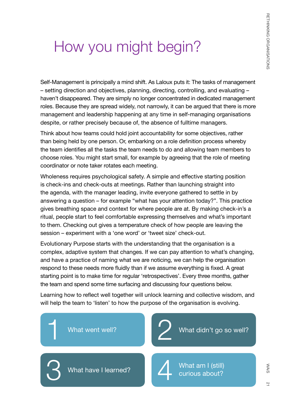# <span id="page-20-0"></span>How you might begin?

Self-Management is principally a mind shift. As Laloux puts it: The tasks of management – setting direction and objectives, planning, directing, controlling, and evaluating – haven't disappeared. They are simply no longer concentrated in dedicated management roles. Because they are spread widely, not narrowly, it can be argued that there is more management and leadership happening at any time in self-managing organisations despite, or rather precisely because of, the absence of fulltime managers.

Think about how teams could hold joint accountability for some objectives, rather than being held by one person. Or, embarking on a role definition process whereby the team identifies all the tasks the team needs to do and allowing team members to choose roles. You might start small, for example by agreeing that the role of meeting coordinator or note taker rotates each meeting.

Wholeness requires psychological safety. A simple and effective starting position is check-ins and check-outs at meetings. Rather than launching straight into the agenda, with the manager leading, invite everyone gathered to settle in by answering a question – for example "what has your attention today?". This practice gives breathing space and context for where people are at. By making check-in's a ritual, people start to feel comfortable expressing themselves and what's important to them. Checking out gives a temperature check of how people are leaving the session – experiment with a 'one word' or 'tweet size' check-out.

Evolutionary Purpose starts with the understanding that the organisation is a complex, adaptive system that changes. If we can pay attention to what's changing, and have a practice of naming what we are noticing, we can help the organisation respond to these needs more fluidly than if we assume everything is fixed. A great starting point is to make time for regular 'retrospectives'. Every three months, gather the team and spend some time surfacing and discussing four questions below.

Learning how to reflect well together will unlock learning and collective wisdom, and will help the team to 'listen' to how the purpose of the organisation is evolving.

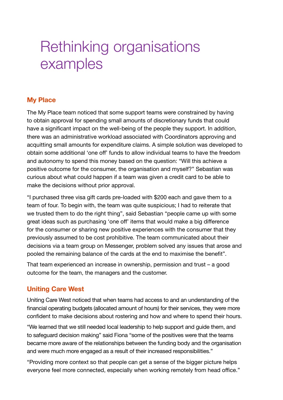### <span id="page-21-0"></span>Rethinking organisations examples

### **My Place**

The My Place team noticed that some support teams were constrained by having to obtain approval for spending small amounts of discretionary funds that could have a significant impact on the well-being of the people they support. In addition, there was an administrative workload associated with Coordinators approving and acquitting small amounts for expenditure claims. A simple solution was developed to obtain some additional 'one off' funds to allow individual teams to have the freedom and autonomy to spend this money based on the question: "Will this achieve a positive outcome for the consumer, the organisation and myself?" Sebastian was curious about what could happen if a team was given a credit card to be able to make the decisions without prior approval.

"I purchased three visa gift cards pre-loaded with \$200 each and gave them to a team of four. To begin with, the team was quite suspicious; I had to reiterate that we trusted them to do the right thing", said Sebastian "people came up with some great ideas such as purchasing 'one off' items that would make a big difference for the consumer or sharing new positive experiences with the consumer that they previously assumed to be cost prohibitive. The team communicated about their decisions via a team group on Messenger, problem solved any issues that arose and pooled the remaining balance of the cards at the end to maximise the benefit".

That team experienced an increase in ownership, permission and trust – a good outcome for the team, the managers and the customer.

### **Uniting Care West**

Uniting Care West noticed that when teams had access to and an understanding of the financial operating budgets (allocated amount of hours) for their services, they were more confident to make decisions about rostering and how and where to spend their hours.

"We learned that we still needed local leadership to help support and guide them, and to safeguard decision making" said Fiona "some of the positives were that the teams became more aware of the relationships between the funding body and the organisation and were much more engaged as a result of their increased responsibilities."

"Providing more context so that people can get a sense of the bigger picture helps everyone feel more connected, especially when working remotely from head office."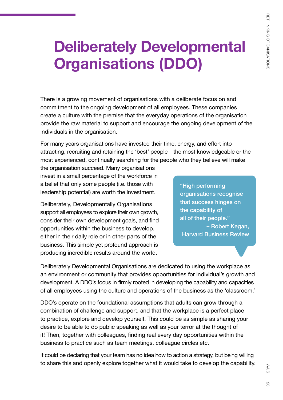# <span id="page-22-0"></span>**Deliberately Developmental Organisations (DDO)**

There is a growing movement of organisations with a deliberate focus on and commitment to the ongoing development of all employees. These companies create a culture with the premise that the everyday operations of the organisation provide the raw material to support and encourage the ongoing development of the individuals in the organisation.

For many years organisations have invested their time, energy, and effort into attracting, recruiting and retaining the 'best' people – the most knowledgeable or the most experienced, continually searching for the people who they believe will make

the organisation succeed. Many organisations invest in a small percentage of the workforce in a belief that only some people (i.e. those with leadership potential) are worth the investment.

Deliberately, Developmentally Organisations support all employees to explore their own growth, consider their own development goals, and find opportunities within the business to develop, either in their daily role or in other parts of the business. This simple yet profound approach is producing incredible results around the world.

"High performing organisations recognise that success hinges on the capability of all of their people." – Robert Kegan, Harvard Business Review

Deliberately Developmental Organisations are dedicated to using the workplace as an environment or community that provides opportunities for individual's growth and development. A DDO's focus in firmly rooted in developing the capability and capacities of all employees using the culture and operations of the business as the 'classroom.'

DDO's operate on the foundational assumptions that adults can grow through a combination of challenge and support, and that the workplace is a perfect place to practice, explore and develop yourself. This could be as simple as sharing your desire to be able to do public speaking as well as your terror at the thought of it! Then, together with colleagues, finding real every day opportunities within the business to practice such as team meetings, colleague circles etc.

It could be declaring that your team has no idea how to action a strategy, but being willing to share this and openly explore together what it would take to develop the capability.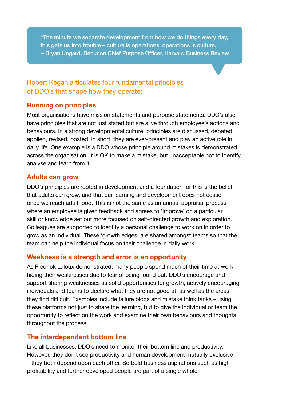"The minute we separate development from how we do things every day, this gets us into trouble – culture is operations, operations is culture." – Bryan Ungard, Decurion Chief Purpose Officer, Harvard Business Review

### Robert Kegan articulates four fundamental principles of DDO's that shape how they operate;

#### **Running on principles**

Most organisations have mission statements and purpose statements. DDO's also have principles that are not just stated but are alive through employee's actions and behaviours. In a strong developmental culture, principles are discussed, debated, applied, revised, posted; in short, they are ever-present and play an active role in daily life. One example is a DDO whose principle around mistakes is demonstrated across the organisation. It is OK to make a mistake, but unacceptable not to identify, analyse and learn from it.

#### **Adults can grow**

DDO's principles are rooted in development and a foundation for this is the belief that adults can grow, and that our learning and development does not cease once we reach adulthood. This is not the same as an annual appraisal process where an employee is given feedback and agrees to 'improve' on a particular skill or knowledge set but more focused on self-directed growth and exploration. Colleagues are supported to identify a personal challenge to work on in order to grow as an individual. These 'growth edges' are shared amongst teams so that the team can help the individual focus on their challenge in daily work.

#### **Weakness is a strength and error is an opportunity**

As Fredrick Laloux demonstrated, many people spend much of their time at work hiding their weaknesses due to fear of being found out. DDO's encourage and support sharing weaknesses as solid opportunities for growth, actively encouraging individuals and teams to declare what they are not good at, as well as the areas they find difficult. Examples include failure blogs and mistake think tanks – using these platforms not just to share the learning, but to give the individual or team the opportunity to reflect on the work and examine their own behaviours and thoughts throughout the process.

#### **The interdependent bottom line**

Like all businesses, DDO's need to monitor their bottom line and productivity. However, they don't see productivity and human development mutually exclusive – they both depend upon each other. So bold business aspirations such as high profitability and further developed people are part of a single whole.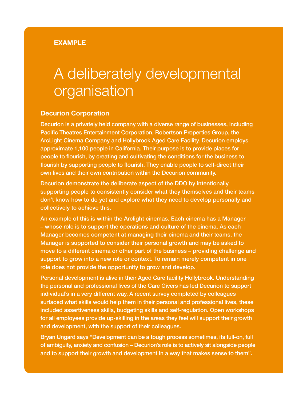#### **EXAMPLE**

### A deliberately developmental organisation

#### **Decurion Corporation**

[Decurion](http://www.decurion.com/dec/) is a privately held company with a diverse range of businesses, including Pacific Theatres Entertainment Corporation, Robertson Properties Group, the ArcLight Cinema Company and Hollybrook Aged Care Facility. Decurion employs approximate 1,100 people in California. Their purpose is to provide places for people to flourish, by creating and cultivating the conditions for the business to flourish by supporting people to flourish. They enable people to self-direct their own lives and their own contribution within the Decurion community.

Decurion demonstrate the deliberate aspect of the DDO by intentionally supporting people to consistently consider what they themselves and their teams don't know how to do yet and explore what they need to develop personally and collectively to achieve this.

An example of this is within the Arclight cinemas. Each cinema has a Manager – whose role is to support the operations and culture of the cinema. As each Manager becomes competent at managing their cinema and their teams, the Manager is supported to consider their personal growth and may be asked to move to a different cinema or other part of the business – providing challenge and support to grow into a new role or context. To remain merely competent in one role does not provide the opportunity to grow and develop.

Personal development is alive in their Aged Care facility Hollybrook. Understanding the personal and professional lives of the Care Givers has led Decurion to support individual's in a very different way. A recent survey completed by colleagues surfaced what skills would help them in their personal and professional lives, these included assertiveness skills, budgeting skills and self-regulation. Open workshops for all employees provide up-skilling in the areas they feel will support their growth and development, with the support of their colleagues.

Bryan Ungard says "Development can be a tough process sometimes, its full-on, full of ambiguity, anxiety and confusion – Decurion's role is to actively sit alongside people and to support their growth and development in a way that makes sense to them".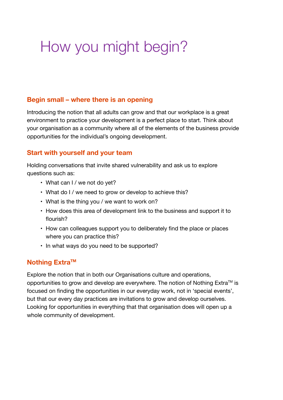# <span id="page-25-0"></span>How you might begin?

#### **Begin small – where there is an opening**

Introducing the notion that all adults can grow and that our workplace is a great environment to practice your development is a perfect place to start. Think about your organisation as a community where all of the elements of the business provide opportunities for the individual's ongoing development.

#### **Start with yourself and your team**

Holding conversations that invite shared vulnerability and ask us to explore questions such as:

- What can I / we not do yet?
- What do I / we need to grow or develop to achieve this?
- What is the thing you / we want to work on?
- How does this area of development link to the business and support it to flourish?
- How can colleagues support you to deliberately find the place or places where you can practice this?
- In what ways do you need to be supported?

#### **Nothing Extra™**

Explore the notion that in both our Organisations culture and operations, opportunities to grow and develop are everywhere. The notion of Nothing Extra™ is focused on finding the opportunities in our everyday work, not in 'special events', but that our every day practices are invitations to grow and develop ourselves. Looking for opportunities in everything that that organisation does will open up a whole community of development.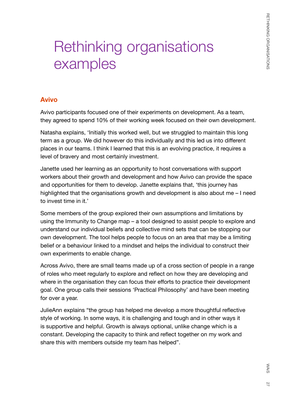# <span id="page-26-0"></span>Rethinking organisations examples

#### **Avivo**

Avivo participants focused one of their experiments on development. As a team, they agreed to spend 10% of their working week focused on their own development.

Natasha explains, 'Initially this worked well, but we struggled to maintain this long term as a group. We did however do this individually and this led us into different places in our teams. I think I learned that this is an evolving practice, it requires a level of bravery and most certainly investment.

Janette used her learning as an opportunity to host conversations with support workers about their growth and development and how Avivo can provide the space and opportunities for them to develop. Janette explains that, 'this journey has highlighted that the organisations growth and development is also about me – I need to invest time in it.'

Some members of the group explored their own assumptions and limitations by using the Immunity to Change map – a tool designed to assist people to explore and understand our individual beliefs and collective mind sets that can be stopping our own development. The tool helps people to focus on an area that may be a limiting belief or a behaviour linked to a mindset and helps the individual to construct their own experiments to enable change.

Across Avivo, there are small teams made up of a cross section of people in a range of roles who meet regularly to explore and reflect on how they are developing and where in the organisation they can focus their efforts to practice their development goal. One group calls their sessions 'Practical Philosophy' and have been meeting for over a year.

JulieAnn explains "the group has helped me develop a more thoughtful reflective style of working. In some ways, it is challenging and tough and in other ways it is supportive and helpful. Growth is always optional, unlike change which is a constant. Developing the capacity to think and reflect together on my work and share this with members outside my team has helped".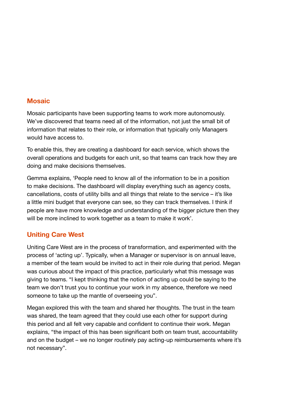#### **Mosaic**

Mosaic participants have been supporting teams to work more autonomously. We've discovered that teams need all of the information, not just the small bit of information that relates to their role, or information that typically only Managers would have access to.

To enable this, they are creating a dashboard for each service, which shows the overall operations and budgets for each unit, so that teams can track how they are doing and make decisions themselves.

Gemma explains, 'People need to know all of the information to be in a position to make decisions. The dashboard will display everything such as agency costs, cancellations, costs of utility bills and all things that relate to the service – it's like a little mini budget that everyone can see, so they can track themselves. I think if people are have more knowledge and understanding of the bigger picture then they will be more inclined to work together as a team to make it work'.

#### **Uniting Care West**

Uniting Care West are in the process of transformation, and experimented with the process of 'acting up'. Typically, when a Manager or supervisor is on annual leave, a member of the team would be invited to act in their role during that period. Megan was curious about the impact of this practice, particularly what this message was giving to teams. "I kept thinking that the notion of acting up could be saying to the team we don't trust you to continue your work in my absence, therefore we need someone to take up the mantle of overseeing you".

Megan explored this with the team and shared her thoughts. The trust in the team was shared, the team agreed that they could use each other for support during this period and all felt very capable and confident to continue their work. Megan explains, "the impact of this has been significant both on team trust, accountability and on the budget – we no longer routinely pay acting-up reimbursements where it's not necessary".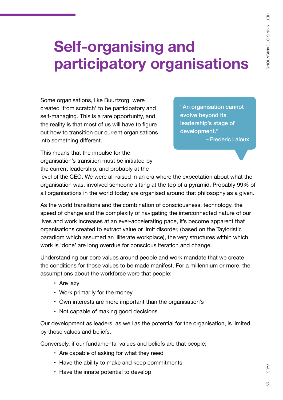# <span id="page-28-0"></span>**Self-organising and participatory organisations**

Some organisations, like Buurtzorg, were created 'from scratch' to be participatory and self-managing. This is a rare opportunity, and the reality is that most of us will have to figure out how to transition our current organisations into something different.

"An organisation cannot evolve beyond its leadership's stage of development." – Frederic Laloux

This means that the impulse for the organisation's transition must be initiated by the current leadership, and probably at the

level of the CEO. We were all raised in an era where the expectation about what the organisation was, involved someone sitting at the top of a pyramid. Probably 99% of all organisations in the world today are organised around that philosophy as a given.

As the world transitions and the combination of consciousness, technology, the speed of change and the complexity of navigating the interconnected nature of our lives and work increases at an ever-accelerating pace, it's become apparent that organisations created to extract value or limit disorder, (based on the Tayloristic paradigm which assumed an illiterate workplace), the very structures within which work is 'done' are long overdue for conscious iteration and change.

Understanding our core values around people and work mandate that we create the conditions for those values to be made manifest. For a millennium or more, the assumptions about the workforce were that people;

- Are lazy
- Work primarily for the money
- Own interests are more important than the organisation's
- Not capable of making good decisions

Our development as leaders, as well as the potential for the organisation, is limited by those values and beliefs.

Conversely, if our fundamental values and beliefs are that people;

- Are capable of asking for what they need
- Have the ability to make and keep commitments
- Have the innate potential to develop

WAiS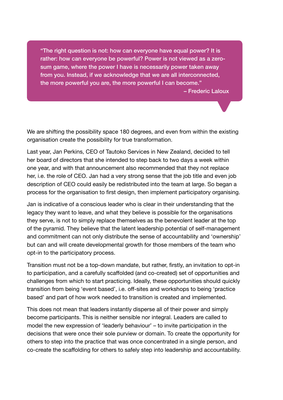"The right question is not: how can everyone have equal power? It is rather: how can everyone be powerful? Power is not viewed as a zerosum game, where the power I have is necessarily power taken away from you. Instead, if we acknowledge that we are all interconnected, the more powerful you are, the more powerful I can become."

– Frederic Laloux

We are shifting the possibility space 180 degrees, and even from within the existing organisation create the possibility for true transformation.

Last year, Jan Perkins, CEO of Tautoko Services in New Zealand, decided to tell her board of directors that she intended to step back to two days a week within one year, and with that announcement also recommended that they not replace her, i.e. the role of CEO. Jan had a very strong sense that the job title and even job description of CEO could easily be redistributed into the team at large. So began a process for the organisation to first design, then implement participatory organising.

Jan is indicative of a conscious leader who is clear in their understanding that the legacy they want to leave, and what they believe is possible for the organisations they serve, is not to simply replace themselves as the benevolent leader at the top of the pyramid. They believe that the latent leadership potential of self-management and commitment can not only distribute the sense of accountability and 'ownership' but can and will create developmental growth for those members of the team who opt-in to the participatory process.

Transition must not be a top-down mandate, but rather, firstly, an invitation to opt-in to participation, and a carefully scaffolded (and co-created) set of opportunities and challenges from which to start practicing. Ideally, these opportunities should quickly transition from being 'event based', i.e. off-sites and workshops to being 'practice based' and part of how work needed to transition is created and implemented.

This does not mean that leaders instantly disperse all of their power and simply become participants. This is neither sensible nor integral. Leaders are called to model the new expression of 'leaderly behaviour' – to invite participation in the decisions that were once their sole purview or domain. To create the opportunity for others to step into the practice that was once concentrated in a single person, and co-create the scaffolding for others to safely step into leadership and accountability.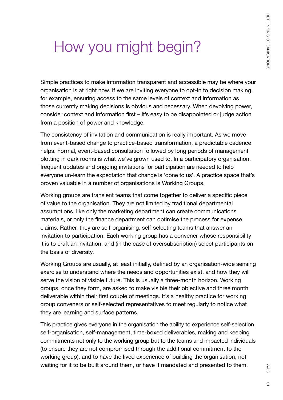# <span id="page-30-0"></span>How you might begin?

Simple practices to make information transparent and accessible may be where your organisation is at right now. If we are inviting everyone to opt-in to decision making, for example, ensuring access to the same levels of context and information as those currently making decisions is obvious and necessary. When devolving power, consider context and information first – it's easy to be disappointed or judge action from a position of power and knowledge.

The consistency of invitation and communication is really important. As we move from event-based change to practice-based transformation, a predictable cadence helps. Formal, event-based consultation followed by long periods of management plotting in dark rooms is what we've grown used to. In a participatory organisation, frequent updates and ongoing invitations for participation are needed to help everyone un-learn the expectation that change is 'done to us'. A practice space that's proven valuable in a number of organisations is Working Groups.

Working groups are transient teams that come together to deliver a specific piece of value to the organisation. They are not limited by traditional departmental assumptions, like only the marketing department can create communications materials, or only the finance department can optimise the process for expense claims. Rather, they are self-organising, self-selecting teams that answer an invitation to participation. Each working group has a convener whose responsibility it is to craft an invitation, and (in the case of oversubscription) select participants on the basis of diversity.

Working Groups are usually, at least initially, defined by an organisation-wide sensing exercise to understand where the needs and opportunities exist, and how they will serve the vision of visible future. This is usually a three-month horizon. Working groups, once they form, are asked to make visible their objective and three month deliverable within their first couple of meetings. It's a healthy practice for working group conveners or self-selected representatives to meet regularly to notice what they are learning and surface patterns.

This practice gives everyone in the organisation the ability to experience self-selection, self-organisation, self-management, time-boxed deliverables, making and keeping commitments not only to the working group but to the teams and impacted individuals (to ensure they are not compromised through the additional commitment to the working group), and to have the lived experience of building the organisation, not waiting for it to be built around them, or have it mandated and presented to them.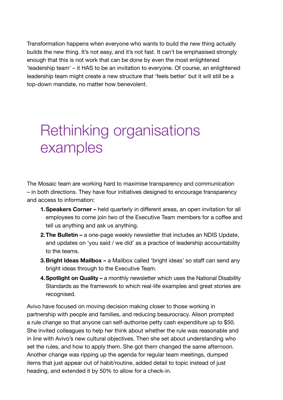<span id="page-31-0"></span>Transformation happens when everyone who wants to build the new thing actually builds the new thing. It's not easy, and it's not fast. It can't be emphasised strongly enough that this is not work that can be done by even the most enlightened 'leadership team' – it HAS to be an invitation to everyone. Of course, an enlightened leadership team might create a new structure that 'feels better' but it will still be a top-down mandate, no matter how benevolent.

### Rethinking organisations examples

The Mosaic team are working hard to maximise transparency and communication – in both directions. They have four initiatives designed to encourage transparency and access to information:

- **1.Speakers Corner –** held quarterly in different areas, an open invitation for all employees to come join two of the Executive Team members for a coffee and tell us anything and ask us anything.
- **2.The Bulletin –** a one-page weekly newsletter that includes an NDIS Update, and updates on 'you said / we did' as a practice of leadership accountability to the teams.
- **3.Bright Ideas Mailbox –** a Mailbox called 'bright ideas' so staff can send any bright ideas through to the Executive Team.
- **4.Spotlight on Quality –** a monthly newsletter which uses the National Disability Standards as the framework to which real-life examples and great stories are recognised.

Avivo have focused on moving decision making closer to those working in partnership with people and families, and reducing beaurocracy. Alison prompted a rule change so that anyone can self-authorise petty cash expenditure up to \$50. She invited colleagues to help her think about whether the rule was reasonable and in line with Avivo's new cultural objectives. Then she set about understanding who set the rules, and how to apply them. She got them changed the same afternoon. Another change was ripping up the agenda for regular team meetings, dumped items that just appear out of habit/routine, added detail to topic instead of just heading, and extended it by 50% to allow for a check-in.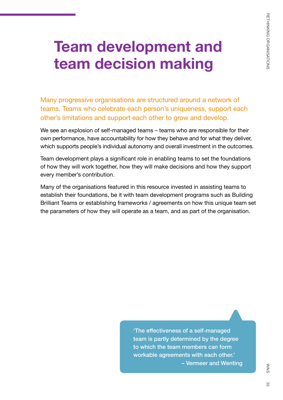# <span id="page-32-0"></span>**Team development and team decision making**

Many progressive organisations are structured around a network of teams. Teams who celebrate each person's uniqueness, support each other's limitations and support each other to grow and develop.

We see an explosion of self-managed teams – teams who are responsible for their own performance, have accountability for how they behave and for what they deliver, which supports people's individual autonomy and overall investment in the outcomes.

Team development plays a significant role in enabling teams to set the foundations of how they will work together, how they will make decisions and how they support every member's contribution.

Many of the organisations featured in this resource invested in assisting teams to establish their foundations, be it with team development programs such as Building Brilliant Teams or establishing frameworks / agreements on how this unique team set the parameters of how they will operate as a team, and as part of the organisation.

> 'The effectiveness of a self-managed team is partly determined by the degree to which the team members can form workable agreements with each other.' – Vermeer and Wenting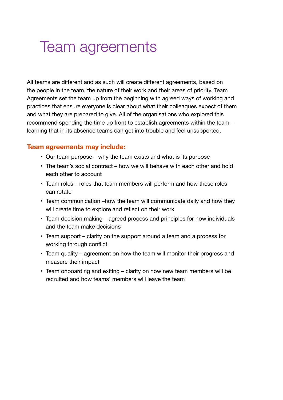### <span id="page-33-0"></span>Team agreements

All teams are different and as such will create different agreements, based on the people in the team, the nature of their work and their areas of priority. Team Agreements set the team up from the beginning with agreed ways of working and practices that ensure everyone is clear about what their colleagues expect of them and what they are prepared to give. All of the organisations who explored this recommend spending the time up front to establish agreements within the team – learning that in its absence teams can get into trouble and feel unsupported.

#### **Team agreements may include:**

- Our team purpose why the team exists and what is its purpose
- The team's social contract how we will behave with each other and hold each other to account
- Team roles roles that team members will perform and how these roles can rotate
- Team communication –how the team will communicate daily and how they will create time to explore and reflect on their work
- Team decision making agreed process and principles for how individuals and the team make decisions
- Team support clarity on the support around a team and a process for working through conflict
- Team quality agreement on how the team will monitor their progress and measure their impact
- Team onboarding and exiting clarity on how new team members will be recruited and how teams' members will leave the team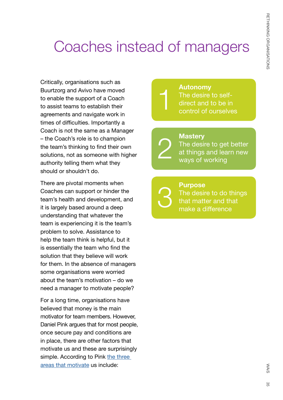# <span id="page-34-0"></span>Coaches instead of managers

1

2

3

Critically, organisations such as Buurtzorg and Avivo have moved to enable the support of a Coach to assist teams to establish their agreements and navigate work in times of difficulties. Importantly a Coach is not the same as a Manager – the Coach's role is to champion the team's thinking to find their own solutions, not as someone with higher authority telling them what they should or shouldn't do.

There are pivotal moments when Coaches can support or hinder the team's health and development, and it is largely based around a deep understanding that whatever the team is experiencing it is the team's problem to solve. Assistance to help the team think is helpful, but it is essentially the team who find the solution that they believe will work for them. In the absence of managers some organisations were worried about the team's motivation – do we need a manager to motivate people?

For a long time, organisations have believed that money is the main motivator for team members. However, Daniel Pink argues that for most people, once secure pay and conditions are in place, there are other factors that motivate us and these are surprisingly simple. According to Pink the three [areas that motivate](https://en.wikipedia.org/wiki/Drive:_The_Surprising_Truth_About_What_Motivates_Us) us include:

**Autonomy** The desire to selfdirect and to be in control of ourselves

**Mastery** The desire to get better at things and learn new ways of working

**Purpose** The desire to do things that matter and that make a difference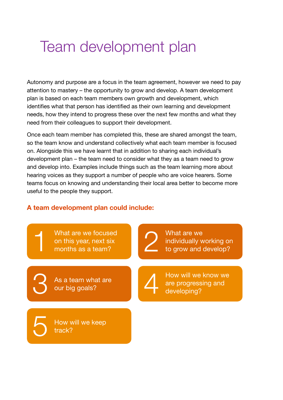### <span id="page-35-0"></span>Team development plan

Autonomy and purpose are a focus in the team agreement, however we need to pay attention to mastery – the opportunity to grow and develop. A team development plan is based on each team members own growth and development, which identifies what that person has identified as their own learning and development needs, how they intend to progress these over the next few months and what they need from their colleagues to support their development.

Once each team member has completed this, these are shared amongst the team, so the team know and understand collectively what each team member is focused on. Alongside this we have learnt that in addition to sharing each individual's development plan – the team need to consider what they as a team need to grow and develop into. Examples include things such as the team learning more about hearing voices as they support a number of people who are voice hearers. Some teams focus on knowing and understanding their local area better to become more useful to the people they support.

#### **A team development plan could include:**

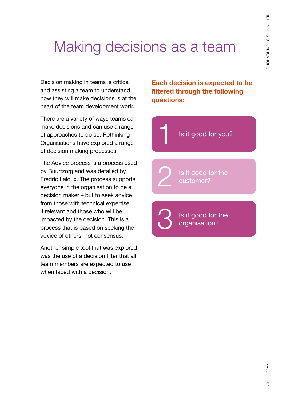# <span id="page-36-0"></span>Making decisions as a team

1

3

2

Decision making in teams is critical and assisting a team to understand how they will make decisions is at the heart of the team development work.

There are a variety of ways teams can make decisions and can use a range of approaches to do so. Rethinking Organisations have explored a range of decision making processes.

The Advice process is a process used by Buurtzorg and was detailed by Fredric Laloux. The process supports everyone in the organisation to be a decision maker – but to seek advice from those with technical expertise if relevant and those who will be impacted by the decision. This is a process that is based on seeking the advice of others, not consensus.

Another simple tool that was explored was the use of a decision filter that all team members are expected to use when faced with a decision.

**Each decision is expected to be filtered through the following questions:** 

Is it good for you?

Is it good for the customer?

Is it good for the organisation?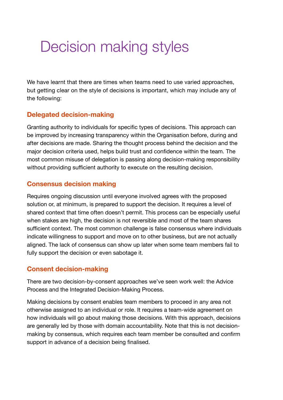### <span id="page-37-0"></span>Decision making styles

We have learnt that there are times when teams need to use varied approaches, but getting clear on the style of decisions is important, which may include any of the following:

### **Delegated decision-making**

Granting authority to individuals for specific types of decisions. This approach can be improved by increasing transparency within the Organisation before, during and after decisions are made. Sharing the thought process behind the decision and the major decision criteria used, helps build trust and confidence within the team. The most common misuse of delegation is passing along decision-making responsibility without providing sufficient authority to execute on the resulting decision.

#### **Consensus decision making**

Requires ongoing discussion until everyone involved agrees with the proposed solution or, at minimum, is prepared to support the decision. It requires a level of shared context that time often doesn't permit. This process can be especially useful when stakes are high, the decision is not reversible and most of the team shares sufficient context. The most common challenge is false consensus where individuals indicate willingness to support and move on to other business, but are not actually aligned. The lack of consensus can show up later when some team members fail to fully support the decision or even sabotage it.

#### **Consent decision-making**

There are two decision-by-consent approaches we've seen work well: the Advice Process and the Integrated Decision-Making Process.

Making decisions by consent enables team members to proceed in any area not otherwise assigned to an individual or role. It requires a team-wide agreement on how individuals will go about making those decisions. With this approach, decisions are generally led by those with domain accountability. Note that this is not decisionmaking by consensus, which requires each team member be consulted and confirm support in advance of a decision being finalised.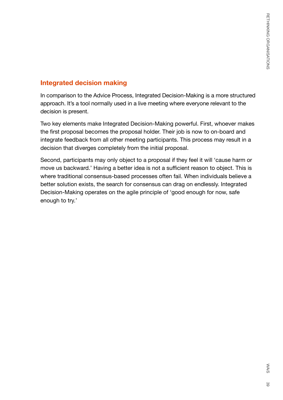### **Integrated decision making**

In comparison to the Advice Process, Integrated Decision-Making is a more structured approach. It's a tool normally used in a live meeting where everyone relevant to the decision is present.

Two key elements make Integrated Decision-Making powerful. First, whoever makes the first proposal becomes the proposal holder. Their job is now to on-board and integrate feedback from all other meeting participants. This process may result in a decision that diverges completely from the initial proposal.

Second, participants may only object to a proposal if they feel it will 'cause harm or move us backward.' Having a better idea is not a sufficient reason to object. This is where traditional consensus-based processes often fail. When individuals believe a better solution exists, the search for consensus can drag on endlessly. Integrated Decision-Making operates on the agile principle of 'good enough for now, safe enough to try.'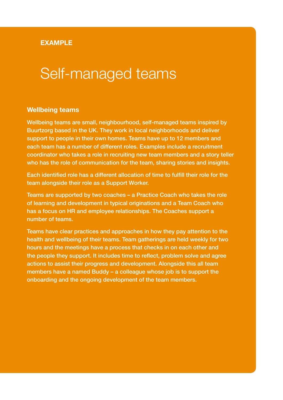#### **EXAMPLE**

### Self-managed teams

#### **Wellbeing teams**

Wellbeing teams are small, neighbourhood, self-managed teams inspired by Buurtzorg based in the UK. They work in local neighborhoods and deliver support to people in their own homes. Teams have up to 12 members and each team has a number of different roles. Examples include a recruitment coordinator who takes a role in recruiting new team members and a story teller who has the role of communication for the team, sharing stories and insights.

Each identified role has a different allocation of time to fulfill their role for the team alongside their role as a Support Worker.

Teams are supported by two coaches – a Practice Coach who takes the role of learning and development in typical originations and a Team Coach who has a focus on HR and employee relationships. The Coaches support a number of teams.

Teams have clear practices and approaches in how they pay attention to the health and wellbeing of their teams. Team gatherings are held weekly for two hours and the meetings have a process that checks in on each other and the people they support. It includes time to reflect, problem solve and agree actions to assist their progress and development. Alongside this all team members have a named Buddy – a colleague whose job is to support the onboarding and the ongoing development of the team members.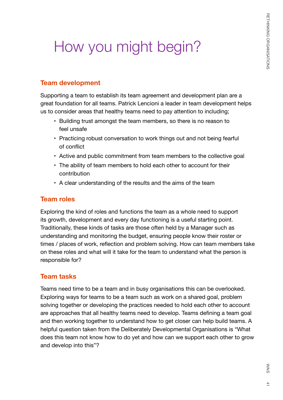# <span id="page-40-0"></span>How you might begin?

#### **Team development**

Supporting a team to establish its team agreement and development plan are a great foundation for all teams. Patrick Lencioni a leader in team development helps us to consider areas that healthy teams need to pay attention to including;

- Building trust amongst the team members, so there is no reason to feel unsafe
- Practicing robust conversation to work things out and not being fearful of conflict
- Active and public commitment from team members to the collective goal
- The ability of team members to hold each other to account for their contribution
- A clear understanding of the results and the aims of the team

#### **Team roles**

Exploring the kind of roles and functions the team as a whole need to support its growth, development and every day functioning is a useful starting point. Traditionally, these kinds of tasks are those often held by a Manager such as understanding and monitoring the budget, ensuring people know their roster or times / places of work, reflection and problem solving. How can team members take on these roles and what will it take for the team to understand what the person is responsible for?

#### **Team tasks**

Teams need time to be a team and in busy organisations this can be overlooked. Exploring ways for teams to be a team such as work on a shared goal, problem solving together or developing the practices needed to hold each other to account are approaches that all healthy teams need to develop. Teams defining a team goal and then working together to understand how to get closer can help build teams. A helpful question taken from the Deliberately Developmental Organisations is "What does this team not know how to do yet and how can we support each other to grow and develop into this"?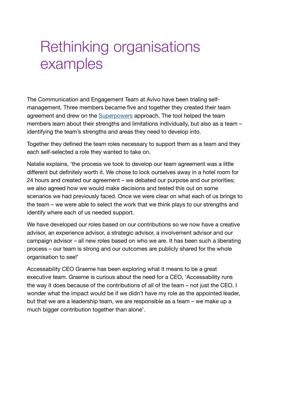### <span id="page-41-0"></span>Rethinking organisations examples

The Communication and Engagement Team at Avivo have been trialing selfmanagement. Three members became five and together they created their team agreement and drew on the [Superpowers](https://superpowers.sypartners.com/) approach. The tool helped the team members learn about their strengths and limitations individually, but also as a team – identifying the team's strengths and areas they need to develop into.

Together they defined the team roles necessary to support them as a team and they each self-selected a role they wanted to take on.

Natalie explains, 'the process we took to develop our team agreement was a little different but definitely worth it. We chose to lock ourselves away in a hotel room for 24 hours and created our agreement – we debated our purpose and our priorities; we also agreed how we would make decisions and tested this out on some scenarios we had previously faced. Once we were clear on what each of us brings to the team – we were able to select the work that we think plays to our strengths and identify where each of us needed support.

We have developed our roles based on our contributions so we now have a creative advisor, an experience advisor, a strategic advisor, a involvement advisor and our campaign advisor – all new roles based on who we are. It has been such a liberating process – our team is strong and our outcomes are publicly shared for the whole organisation to see!'

Accessability CEO Graeme has been exploring what it means to be a great executive team. Graeme is curious about the need for a CEO, 'Accessability runs the way it does because of the contributions of all of the team – not just the CEO. I wonder what the impact would be if we didn't have my role as the appointed leader, but that we are a leadership team, we are responsible as a team – we make up a much bigger contribution together than alone'.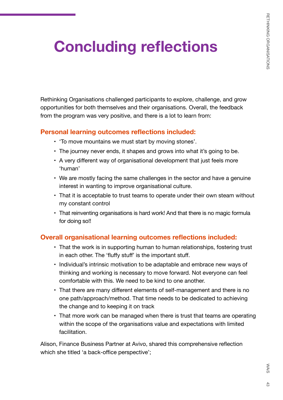# <span id="page-42-0"></span>**Concluding reflections**

Rethinking Organisations challenged participants to explore, challenge, and grow opportunities for both themselves and their organisations. Overall, the feedback from the program was very positive, and there is a lot to learn from:

#### **Personal learning outcomes reflections included:**

- 'To move mountains we must start by moving stones'.
- The journey never ends, it shapes and grows into what it's going to be.
- A very different way of organisational development that just feels more 'human'
- We are mostly facing the same challenges in the sector and have a genuine interest in wanting to improve organisational culture.
- That it is acceptable to trust teams to operate under their own steam without my constant control
- That reinventing organisations is hard work! And that there is no magic formula for doing so!!

### **Overall organisational learning outcomes reflections included:**

- That the work is in supporting human to human relationships, fostering trust in each other. The 'fluffy stuff' is the important stuff.
- Individual's intrinsic motivation to be adaptable and embrace new ways of thinking and working is necessary to move forward. Not everyone can feel comfortable with this. We need to be kind to one another.
- That there are many different elements of self-management and there is no one path/approach/method. That time needs to be dedicated to achieving the change and to keeping it on track
- That more work can be managed when there is trust that teams are operating within the scope of the organisations value and expectations with limited facilitation.

Alison, Finance Business Partner at Avivo, shared this comprehensive reflection which she titled 'a back-office perspective';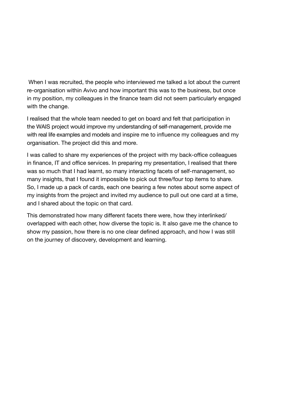When I was recruited, the people who interviewed me talked a lot about the current re-organisation within Avivo and how important this was to the business, but once in my position, my colleagues in the finance team did not seem particularly engaged with the change.

I realised that the whole team needed to get on board and felt that participation in the WAIS project would improve my understanding of self-management, provide me with real life examples and models and inspire me to influence my colleagues and my organisation. The project did this and more.

I was called to share my experiences of the project with my back-office colleagues in finance, IT and office services. In preparing my presentation, I realised that there was so much that I had learnt, so many interacting facets of self-management, so many insights, that I found it impossible to pick out three/four top items to share. So, I made up a pack of cards, each one bearing a few notes about some aspect of my insights from the project and invited my audience to pull out one card at a time, and I shared about the topic on that card.

This demonstrated how many different facets there were, how they interlinked/ overlapped with each other, how diverse the topic is. It also gave me the chance to show my passion, how there is no one clear defined approach, and how I was still on the journey of discovery, development and learning.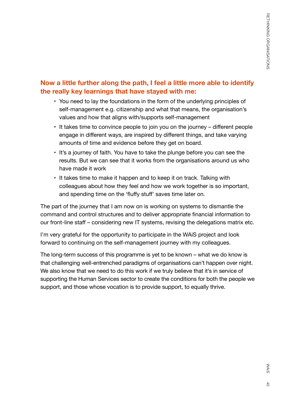### **Now a little further along the path, I feel a little more able to identify the really key learnings that have stayed with me:**

- You need to lay the foundations in the form of the underlying principles of self-management e.g. citizenship and what that means, the organisation's values and how that aligns with/supports self-management
- It takes time to convince people to join you on the journey different people engage in different ways, are inspired by different things, and take varying amounts of time and evidence before they get on board.
- It's a journey of faith. You have to take the plunge before you can see the results. But we can see that it works from the organisations around us who have made it work
- It takes time to make it happen and to keep it on track. Talking with colleagues about how they feel and how we work together is so important, and spending time on the 'fluffy stuff' saves time later on.

The part of the journey that I am now on is working on systems to dismantle the command and control structures and to deliver appropriate financial information to our front-line staff – considering new IT systems, revising the delegations matrix etc.

I'm very grateful for the opportunity to participate in the WAiS project and look forward to continuing on the self-management journey with my colleagues.

The long-term success of this programme is yet to be known – what we do know is that challenging well-entrenched paradigms of organisations can't happen over night. We also know that we need to do this work if we truly believe that it's in service of supporting the Human Services sector to create the conditions for both the people we support, and those whose vocation is to provide support, to equally thrive.